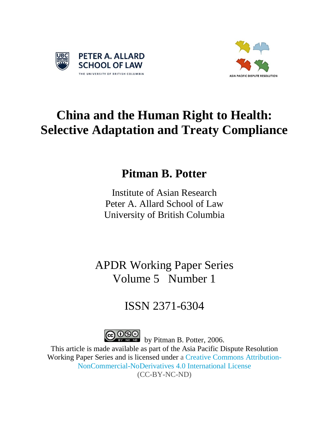



# **China and the Human Right to Health: Selective Adaptation and Treaty Compliance**

## **Pitman B. Potter**

Institute of Asian Research Peter A. Allard School of Law University of British Columbia

APDR Working Paper Series Volume 5 Number 1

## ISSN 2371-6304



by Pitman B. Potter, 2006.

This article is made available as part of the Asia Pacific Dispute Resolution Working Paper Series and is licensed under a Creative Commons [Attribution-](http://creativecommons.org/licenses/by-nc-nd/4.0/)[NonCommercial-NoDerivatives](http://creativecommons.org/licenses/by-nc-nd/4.0/) 4.0 International License (CC-BY-NC-ND)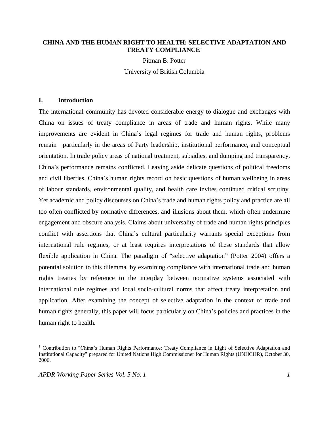## **CHINA AND THE HUMAN RIGHT TO HEALTH: SELECTIVE ADAPTATION AND TREATY COMPLIANCE†**

Pitman B. Potter

University of British Columbia

## **I. Introduction**

The international community has devoted considerable energy to dialogue and exchanges with China on issues of treaty compliance in areas of trade and human rights. While many improvements are evident in China's legal regimes for trade and human rights, problems remain—particularly in the areas of Party leadership, institutional performance, and conceptual orientation. In trade policy areas of national treatment, subsidies, and dumping and transparency, China's performance remains conflicted. Leaving aside delicate questions of political freedoms and civil liberties, China's human rights record on basic questions of human wellbeing in areas of labour standards, environmental quality, and health care invites continued critical scrutiny. Yet academic and policy discourses on China's trade and human rights policy and practice are all too often conflicted by normative differences, and illusions about them, which often undermine engagement and obscure analysis. Claims about universality of trade and human rights principles conflict with assertions that China's cultural particularity warrants special exceptions from international rule regimes, or at least requires interpretations of these standards that allow flexible application in China. The paradigm of "selective adaptation" (Potter 2004) offers a potential solution to this dilemma, by examining compliance with international trade and human rights treaties by reference to the interplay between normative systems associated with international rule regimes and local socio-cultural norms that affect treaty interpretation and application. After examining the concept of selective adaptation in the context of trade and human rights generally, this paper will focus particularly on China's policies and practices in the human right to health.

 $\overline{a}$ 

<sup>†</sup> Contribution to "China's Human Rights Performance: Treaty Compliance in Light of Selective Adaptation and Institutional Capacity" prepared for United Nations High Commissioner for Human Rights (UNHCHR), October 30, 2006.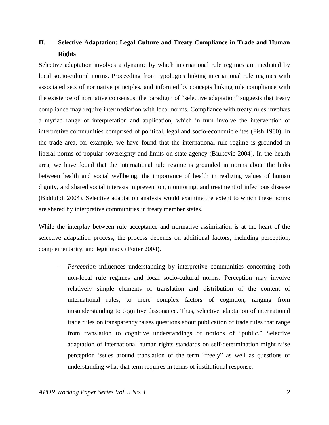## **II. Selective Adaptation: Legal Culture and Treaty Compliance in Trade and Human Rights**

Selective adaptation involves a dynamic by which international rule regimes are mediated by local socio-cultural norms. Proceeding from typologies linking international rule regimes with associated sets of normative principles, and informed by concepts linking rule compliance with the existence of normative consensus, the paradigm of "selective adaptation" suggests that treaty compliance may require intermediation with local norms. Compliance with treaty rules involves a myriad range of interpretation and application, which in turn involve the intervention of interpretive communities comprised of political, legal and socio-economic elites (Fish 1980). In the trade area, for example, we have found that the international rule regime is grounded in liberal norms of popular sovereignty and limits on state agency (Biukovic 2004). In the health area, we have found that the international rule regime is grounded in norms about the links between health and social wellbeing, the importance of health in realizing values of human dignity, and shared social interests in prevention, monitoring, and treatment of infectious disease (Biddulph 2004). Selective adaptation analysis would examine the extent to which these norms are shared by interpretive communities in treaty member states.

While the interplay between rule acceptance and normative assimilation is at the heart of the selective adaptation process, the process depends on additional factors, including perception, complementarity, and legitimacy (Potter 2004).

- *Perception* influences understanding by interpretive communities concerning both non-local rule regimes and local socio-cultural norms. Perception may involve relatively simple elements of translation and distribution of the content of international rules, to more complex factors of cognition, ranging from misunderstanding to cognitive dissonance. Thus, selective adaptation of international trade rules on transparency raises questions about publication of trade rules that range from translation to cognitive understandings of notions of "public." Selective adaptation of international human rights standards on self-determination might raise perception issues around translation of the term "freely" as well as questions of understanding what that term requires in terms of institutional response.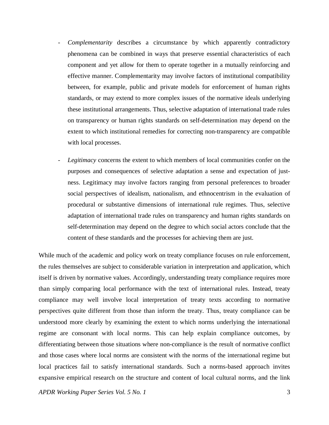- *Complementarity* describes a circumstance by which apparently contradictory phenomena can be combined in ways that preserve essential characteristics of each component and yet allow for them to operate together in a mutually reinforcing and effective manner. Complementarity may involve factors of institutional compatibility between, for example, public and private models for enforcement of human rights standards, or may extend to more complex issues of the normative ideals underlying these institutional arrangements. Thus, selective adaptation of international trade rules on transparency or human rights standards on self-determination may depend on the extent to which institutional remedies for correcting non-transparency are compatible with local processes.
- *Legitimacy* concerns the extent to which members of local communities confer on the purposes and consequences of selective adaptation a sense and expectation of justness. Legitimacy may involve factors ranging from personal preferences to broader social perspectives of idealism, nationalism, and ethnocentrism in the evaluation of procedural or substantive dimensions of international rule regimes. Thus, selective adaptation of international trade rules on transparency and human rights standards on self-determination may depend on the degree to which social actors conclude that the content of these standards and the processes for achieving them are just.

While much of the academic and policy work on treaty compliance focuses on rule enforcement, the rules themselves are subject to considerable variation in interpretation and application, which itself is driven by normative values. Accordingly, understanding treaty compliance requires more than simply comparing local performance with the text of international rules. Instead, treaty compliance may well involve local interpretation of treaty texts according to normative perspectives quite different from those than inform the treaty. Thus, treaty compliance can be understood more clearly by examining the extent to which norms underlying the international regime are consonant with local norms. This can help explain compliance outcomes, by differentiating between those situations where non-compliance is the result of normative conflict and those cases where local norms are consistent with the norms of the international regime but local practices fail to satisfy international standards. Such a norms-based approach invites expansive empirical research on the structure and content of local cultural norms, and the link

*APDR Working Paper Series Vol. 5 No. 1* 3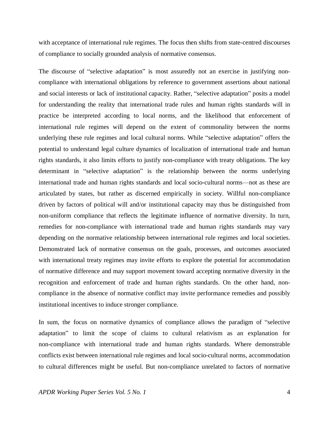with acceptance of international rule regimes. The focus then shifts from state-centred discourses of compliance to socially grounded analysis of normative consensus.

The discourse of "selective adaptation" is most assuredly not an exercise in justifying noncompliance with international obligations by reference to government assertions about national and social interests or lack of institutional capacity. Rather, "selective adaptation" posits a model for understanding the reality that international trade rules and human rights standards will in practice be interpreted according to local norms, and the likelihood that enforcement of international rule regimes will depend on the extent of commonality between the norms underlying these rule regimes and local cultural norms. While "selective adaptation" offers the potential to understand legal culture dynamics of localization of international trade and human rights standards, it also limits efforts to justify non-compliance with treaty obligations. The key determinant in "selective adaptation" is the relationship between the norms underlying international trade and human rights standards and local socio-cultural norms—not as these are articulated by states, but rather as discerned empirically in society. Willful non-compliance driven by factors of political will and/or institutional capacity may thus be distinguished from non-uniform compliance that reflects the legitimate influence of normative diversity. In turn, remedies for non-compliance with international trade and human rights standards may vary depending on the normative relationship between international rule regimes and local societies. Demonstrated lack of normative consensus on the goals, processes, and outcomes associated with international treaty regimes may invite efforts to explore the potential for accommodation of normative difference and may support movement toward accepting normative diversity in the recognition and enforcement of trade and human rights standards. On the other hand, noncompliance in the absence of normative conflict may invite performance remedies and possibly institutional incentives to induce stronger compliance.

In sum, the focus on normative dynamics of compliance allows the paradigm of "selective adaptation" to limit the scope of claims to cultural relativism as an explanation for non-compliance with international trade and human rights standards. Where demonstrable conflicts exist between international rule regimes and local socio-cultural norms, accommodation to cultural differences might be useful. But non-compliance unrelated to factors of normative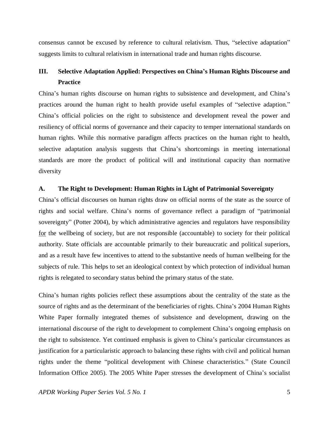consensus cannot be excused by reference to cultural relativism. Thus, "selective adaptation" suggests limits to cultural relativism in international trade and human rights discourse.

## **III. Selective Adaptation Applied: Perspectives on China's Human Rights Discourse and Practice**

China's human rights discourse on human rights to subsistence and development, and China's practices around the human right to health provide useful examples of "selective adaption." China's official policies on the right to subsistence and development reveal the power and resiliency of official norms of governance and their capacity to temper international standards on human rights. While this normative paradigm affects practices on the human right to health, selective adaptation analysis suggests that China's shortcomings in meeting international standards are more the product of political will and institutional capacity than normative diversity

## **A. The Right to Development: Human Rights in Light of Patrimonial Sovereignty**

China's official discourses on human rights draw on official norms of the state as the source of rights and social welfare. China's norms of governance reflect a paradigm of "patrimonial sovereignty" (Potter 2004), by which administrative agencies and regulators have responsibility for the wellbeing of society, but are not responsible (accountable) to society for their political authority. State officials are accountable primarily to their bureaucratic and political superiors, and as a result have few incentives to attend to the substantive needs of human wellbeing for the subjects of rule. This helps to set an ideological context by which protection of individual human rights is relegated to secondary status behind the primary status of the state.

China's human rights policies reflect these assumptions about the centrality of the state as the source of rights and as the determinant of the beneficiaries of rights. China's 2004 Human Rights White Paper formally integrated themes of subsistence and development, drawing on the international discourse of the right to development to complement China's ongoing emphasis on the right to subsistence. Yet continued emphasis is given to China's particular circumstances as justification for a particularistic approach to balancing these rights with civil and political human rights under the theme "political development with Chinese characteristics." (State Council Information Office 2005). The 2005 White Paper stresses the development of China's socialist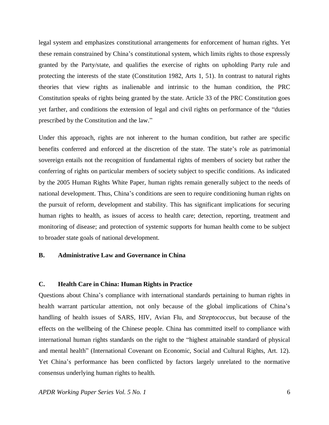legal system and emphasizes constitutional arrangements for enforcement of human rights. Yet these remain constrained by China's constitutional system, which limits rights to those expressly granted by the Party/state, and qualifies the exercise of rights on upholding Party rule and protecting the interests of the state (Constitution 1982, Arts 1, 51). In contrast to natural rights theories that view rights as inalienable and intrinsic to the human condition, the PRC Constitution speaks of rights being granted by the state. Article 33 of the PRC Constitution goes yet farther, and conditions the extension of legal and civil rights on performance of the "duties prescribed by the Constitution and the law."

Under this approach, rights are not inherent to the human condition, but rather are specific benefits conferred and enforced at the discretion of the state. The state's role as patrimonial sovereign entails not the recognition of fundamental rights of members of society but rather the conferring of rights on particular members of society subject to specific conditions. As indicated by the 2005 Human Rights White Paper, human rights remain generally subject to the needs of national development. Thus, China's conditions are seen to require conditioning human rights on the pursuit of reform, development and stability. This has significant implications for securing human rights to health, as issues of access to health care; detection, reporting, treatment and monitoring of disease; and protection of systemic supports for human health come to be subject to broader state goals of national development.

### **B. Administrative Law and Governance in China**

## **C. Health Care in China: Human Rights in Practice**

Questions about China's compliance with international standards pertaining to human rights in health warrant particular attention, not only because of the global implications of China's handling of health issues of SARS, HIV, Avian Flu, and *Streptococcus*, but because of the effects on the wellbeing of the Chinese people*.* China has committed itself to compliance with international human rights standards on the right to the "highest attainable standard of physical and mental health" (International Covenant on Economic, Social and Cultural Rights, Art. 12). Yet China's performance has been conflicted by factors largely unrelated to the normative consensus underlying human rights to health.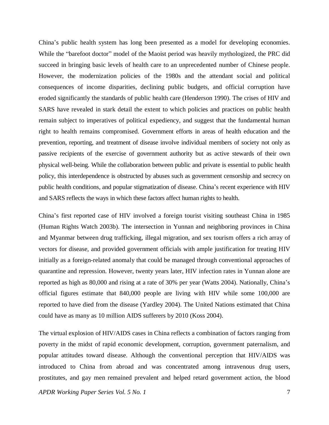China's public health system has long been presented as a model for developing economies. While the "barefoot doctor" model of the Maoist period was heavily mythologized, the PRC did succeed in bringing basic levels of health care to an unprecedented number of Chinese people. However, the modernization policies of the 1980s and the attendant social and political consequences of income disparities, declining public budgets, and official corruption have eroded significantly the standards of public health care (Henderson 1990). The crises of HIV and SARS have revealed in stark detail the extent to which policies and practices on public health remain subject to imperatives of political expediency, and suggest that the fundamental human right to health remains compromised. Government efforts in areas of health education and the prevention, reporting, and treatment of disease involve individual members of society not only as passive recipients of the exercise of government authority but as active stewards of their own physical well-being. While the collaboration between public and private is essential to public health policy, this interdependence is obstructed by abuses such as government censorship and secrecy on public health conditions, and popular stigmatization of disease. China's recent experience with HIV and SARS reflects the ways in which these factors affect human rights to health.

China's first reported case of HIV involved a foreign tourist visiting southeast China in 1985 (Human Rights Watch 2003b). The intersection in Yunnan and neighboring provinces in China and Myanmar between drug trafficking, illegal migration, and sex tourism offers a rich array of vectors for disease, and provided government officials with ample justification for treating HIV initially as a foreign-related anomaly that could be managed through conventional approaches of quarantine and repression. However, twenty years later, HIV infection rates in Yunnan alone are reported as high as 80,000 and rising at a rate of 30% per year (Watts 2004). Nationally, China's official figures estimate that 840,000 people are living with HIV while some 100,000 are reported to have died from the disease (Yardley 2004). The United Nations estimated that China could have as many as 10 million AIDS sufferers by 2010 (Koss 2004).

The virtual explosion of HIV/AIDS cases in China reflects a combination of factors ranging from poverty in the midst of rapid economic development, corruption, government paternalism, and popular attitudes toward disease. Although the conventional perception that HIV/AIDS was introduced to China from abroad and was concentrated among intravenous drug users, prostitutes, and gay men remained prevalent and helped retard government action, the blood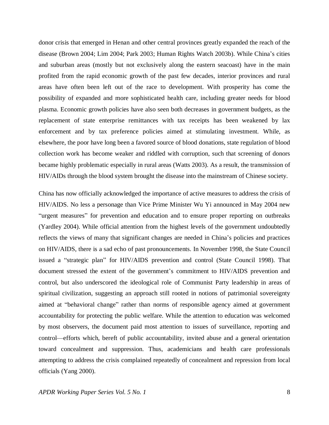donor crisis that emerged in Henan and other central provinces greatly expanded the reach of the disease (Brown 2004; Lim 2004; Park 2003; Human Rights Watch 2003b). While China's cities and suburban areas (mostly but not exclusively along the eastern seacoast) have in the main profited from the rapid economic growth of the past few decades, interior provinces and rural areas have often been left out of the race to development. With prosperity has come the possibility of expanded and more sophisticated health care, including greater needs for blood plasma. Economic growth policies have also seen both decreases in government budgets, as the replacement of state enterprise remittances with tax receipts has been weakened by lax enforcement and by tax preference policies aimed at stimulating investment. While, as elsewhere, the poor have long been a favored source of blood donations, state regulation of blood collection work has become weaker and riddled with corruption, such that screening of donors became highly problematic especially in rural areas (Watts 2003). As a result, the transmission of HIV/AIDs through the blood system brought the disease into the mainstream of Chinese society.

China has now officially acknowledged the importance of active measures to address the crisis of HIV/AIDS. No less a personage than Vice Prime Minister Wu Yi announced in May 2004 new "urgent measures" for prevention and education and to ensure proper reporting on outbreaks (Yardley 2004). While official attention from the highest levels of the government undoubtedly reflects the views of many that significant changes are needed in China's policies and practices on HIV/AIDS, there is a sad echo of past pronouncements. In November 1998, the State Council issued a "strategic plan" for HIV/AIDS prevention and control (State Council 1998). That document stressed the extent of the government's commitment to HIV/AIDS prevention and control, but also underscored the ideological role of Communist Party leadership in areas of spiritual civilization, suggesting an approach still rooted in notions of patrimonial sovereignty aimed at "behavioral change" rather than norms of responsible agency aimed at government accountability for protecting the public welfare. While the attention to education was welcomed by most observers, the document paid most attention to issues of surveillance, reporting and control—efforts which, bereft of public accountability, invited abuse and a general orientation toward concealment and suppression. Thus, academicians and health care professionals attempting to address the crisis complained repeatedly of concealment and repression from local officials (Yang 2000).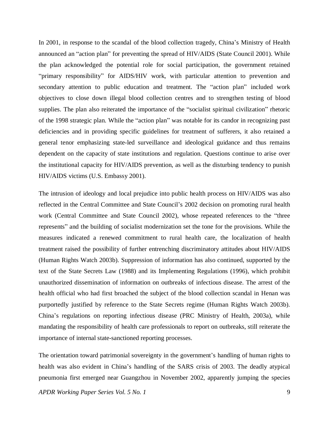In 2001, in response to the scandal of the blood collection tragedy, China's Ministry of Health announced an "action plan" for preventing the spread of HIV/AIDS (State Council 2001). While the plan acknowledged the potential role for social participation, the government retained "primary responsibility" for AIDS/HIV work, with particular attention to prevention and secondary attention to public education and treatment. The "action plan" included work objectives to close down illegal blood collection centres and to strengthen testing of blood supplies. The plan also reiterated the importance of the "socialist spiritual civilization" rhetoric of the 1998 strategic plan. While the "action plan" was notable for its candor in recognizing past deficiencies and in providing specific guidelines for treatment of sufferers, it also retained a general tenor emphasizing state-led surveillance and ideological guidance and thus remains dependent on the capacity of state institutions and regulation. Questions continue to arise over the institutional capacity for HIV/AIDS prevention, as well as the disturbing tendency to punish HIV/AIDS victims (U.S. Embassy 2001).

The intrusion of ideology and local prejudice into public health process on HIV/AIDS was also reflected in the Central Committee and State Council's 2002 decision on promoting rural health work (Central Committee and State Council 2002), whose repeated references to the "three represents" and the building of socialist modernization set the tone for the provisions. While the measures indicated a renewed commitment to rural health care, the localization of health treatment raised the possibility of further entrenching discriminatory attitudes about HIV/AIDS (Human Rights Watch 2003b). Suppression of information has also continued, supported by the text of the State Secrets Law (1988) and its Implementing Regulations (1996), which prohibit unauthorized dissemination of information on outbreaks of infectious disease. The arrest of the health official who had first broached the subject of the blood collection scandal in Henan was purportedly justified by reference to the State Secrets regime (Human Rights Watch 2003b). China's regulations on reporting infectious disease (PRC Ministry of Health, 2003a), while mandating the responsibility of health care professionals to report on outbreaks, still reiterate the importance of internal state-sanctioned reporting processes.

The orientation toward patrimonial sovereignty in the government's handling of human rights to health was also evident in China's handling of the SARS crisis of 2003. The deadly atypical pneumonia first emerged near Guangzhou in November 2002, apparently jumping the species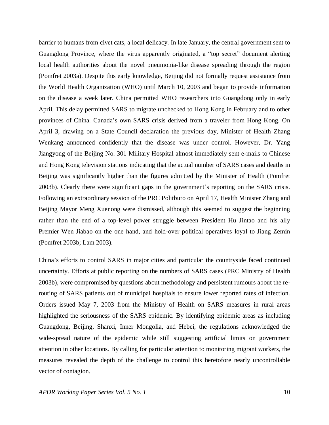barrier to humans from civet cats, a local delicacy. In late January, the central government sent to Guangdong Province, where the virus apparently originated, a "top secret" document alerting local health authorities about the novel pneumonia-like disease spreading through the region (Pomfret 2003a). Despite this early knowledge, Beijing did not formally request assistance from the World Health Organization (WHO) until March 10, 2003 and began to provide information on the disease a week later. China permitted WHO researchers into Guangdong only in early April. This delay permitted SARS to migrate unchecked to Hong Kong in February and to other provinces of China. Canada's own SARS crisis derived from a traveler from Hong Kong. On April 3, drawing on a State Council declaration the previous day, Minister of Health Zhang Wenkang announced confidently that the disease was under control. However, Dr. Yang Jiangyong of the Beijing No. 301 Military Hospital almost immediately sent e-mails to Chinese and Hong Kong television stations indicating that the actual number of SARS cases and deaths in Beijing was significantly higher than the figures admitted by the Minister of Health (Pomfret 2003b). Clearly there were significant gaps in the government's reporting on the SARS crisis. Following an extraordinary session of the PRC Politburo on April 17, Health Minister Zhang and Beijing Mayor Meng Xuenong were dismissed, although this seemed to suggest the beginning rather than the end of a top-level power struggle between President Hu Jintao and his ally Premier Wen Jiabao on the one hand, and hold-over political operatives loyal to Jiang Zemin (Pomfret 2003b; Lam 2003).

China's efforts to control SARS in major cities and particular the countryside faced continued uncertainty. Efforts at public reporting on the numbers of SARS cases (PRC Ministry of Health 2003b), were compromised by questions about methodology and persistent rumours about the rerouting of SARS patients out of municipal hospitals to ensure lower reported rates of infection. Orders issued May 7, 2003 from the Ministry of Health on SARS measures in rural areas highlighted the seriousness of the SARS epidemic. By identifying epidemic areas as including Guangdong, Beijing, Shanxi, Inner Mongolia, and Hebei, the regulations acknowledged the wide-spread nature of the epidemic while still suggesting artificial limits on government attention in other locations. By calling for particular attention to monitoring migrant workers, the measures revealed the depth of the challenge to control this heretofore nearly uncontrollable vector of contagion.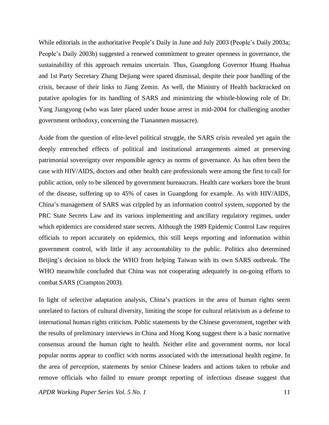While editorials in the authoritative People's Daily in June and July 2003 (People's Daily 2003a; People's Daily 2003b) suggested a renewed commitment to greater openness in governance, the sustainability of this approach remains uncertain. Thus, Guangdong Governor Huang Huahua and 1st Party Secretary Zhang Dejiang were spared dismissal, despite their poor handling of the crisis, because of their links to Jiang Zemin. As well, the Ministry of Health backtracked on putative apologies for its handling of SARS and minimizing the whistle-blowing role of Dr. Yang Jiangyong (who was later placed under house arrest in mid-2004 for challenging another government orthodoxy, concerning the Tiananmen massacre).

Aside from the question of elite-level political struggle, the SARS crisis revealed yet again the deeply entrenched effects of political and institutional arrangements aimed at preserving patrimonial sovereignty over responsible agency as norms of governance. As has often been the case with HIV/AIDS, doctors and other health care professionals were among the first to call for public action, only to be silenced by government bureaucrats. Health care workers bore the brunt of the disease, suffering up to 45% of cases in Guangdong for example. As with HIV/AIDS, China's management of SARS was crippled by an information control system, supported by the PRC State Secrets Law and its various implementing and ancillary regulatory regimes, under which epidemics are considered state secrets. Although the 1989 Epidemic Control Law requires officials to report accurately on epidemics, this still keeps reporting and information within government control, with little if any accountability to the public. Politics also determined Beijing's decision to block the WHO from helping Taiwan with its own SARS outbreak. The WHO meanwhile concluded that China was not cooperating adequately in on-going efforts to combat SARS (Crampton 2003).

In light of selective adaptation analysis, China's practices in the area of human rights seem unrelated to factors of cultural diversity, limiting the scope for cultural relativism as a defense to international human rights criticism. Public statements by the Chinese government, together with the results of preliminary interviews in China and Hong Kong suggest there is a basic normative consensus around the human right to health. Neither elite and government norms, nor local popular norms appear to conflict with norms associated with the international health regime. In the area of *perception*, statements by senior Chinese leaders and actions taken to rebuke and remove officials who failed to ensure prompt reporting of infectious disease suggest that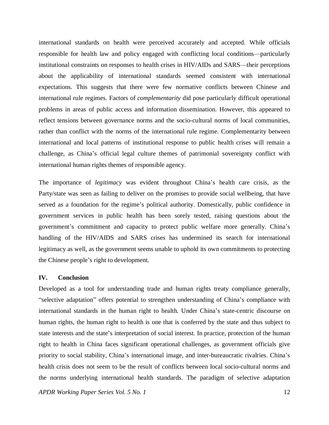international standards on health were perceived accurately and accepted. While officials responsible for health law and policy engaged with conflicting local conditions—particularly institutional constraints on responses to health crises in HIV/AIDs and SARS—their perceptions about the applicability of international standards seemed consistent with international expectations. This suggests that there were few normative conflicts between Chinese and international rule regimes. Factors of *complementarity* did pose particularly difficult operational problems in areas of public access and information dissemination. However, this appeared to reflect tensions between governance norms and the socio-cultural norms of local communities, rather than conflict with the norms of the international rule regime. Complementarity between international and local patterns of institutional response to public health crises will remain a challenge, as China's official legal culture themes of patrimonial sovereignty conflict with international human rights themes of responsible agency.

The importance of *legitimacy* was evident throughout China's health care crisis, as the Party/state was seen as failing to deliver on the promises to provide social wellbeing, that have served as a foundation for the regime's political authority. Domestically, public confidence in government services in public health has been sorely tested, raising questions about the government's commitment and capacity to protect public welfare more generally. China's handling of the HIV/AIDS and SARS crises has undermined its search for international legitimacy as well, as the government seems unable to uphold its own commitments to protecting the Chinese people's right to development.

## **IV. Conclusion**

Developed as a tool for understanding trade and human rights treaty compliance generally, "selective adaptation" offers potential to strengthen understanding of China's compliance with international standards in the human right to health. Under China's state-centric discourse on human rights, the human right to health is one that is conferred by the state and thus subject to state interests and the state's interpretation of social interest. In practice, protection of the human right to health in China faces significant operational challenges, as government officials give priority to social stability, China's international image, and inter-bureaucratic rivalries. China's health crisis does not seem to be the result of conflicts between local socio-cultural norms and the norms underlying international health standards. The paradigm of selective adaptation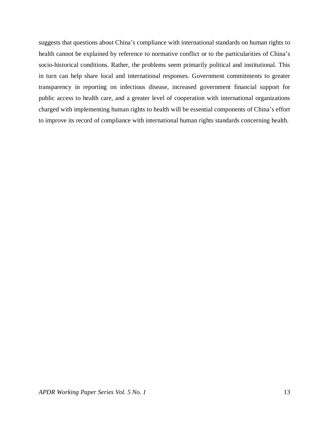suggests that questions about China's compliance with international standards on human rights to health cannot be explained by reference to normative conflict or to the particularities of China's socio-historical conditions. Rather, the problems seem primarily political and institutional. This in turn can help share local and international responses. Government commitments to greater transparency in reporting on infectious disease, increased government financial support for public access to health care, and a greater level of cooperation with international organizations charged with implementing human rights to health will be essential components of China's effort to improve its record of compliance with international human rights standards concerning health.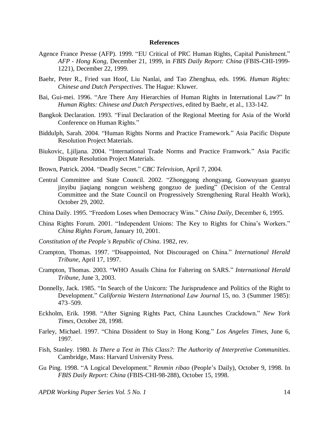#### **References**

- Agence France Presse (AFP). 1999. "EU Critical of PRC Human Rights, Capital Punishment." *AFP - Hong Kong*, December 21, 1999, in *FBIS Daily Report: China* (FBIS-CHI-1999- 1221), December 22, 1999.
- Baehr, Peter R., Fried van Hoof, Liu Nanlai, and Tao Zhenghua, eds. 1996. *Human Rights: Chinese and Dutch Perspectives*. The Hague: Kluwer.
- Bai, Gui-mei. 1996. "Are There Any Hierarchies of Human Rights in International Law?" In *Human Rights: Chinese and Dutch Perspectives*, edited by Baehr, et al., 133-142.
- Bangkok Declaration. 1993. "Final Declaration of the Regional Meeting for Asia of the World Conference on Human Rights."
- Biddulph, Sarah. 2004. "Human Rights Norms and Practice Framework." Asia Pacific Dispute Resolution Project Materials.
- Biukovic, Ljiljana. 2004. "International Trade Norms and Practice Framwork." Asia Pacific Dispute Resolution Project Materials.
- Brown, Patrick. 2004. "Deadly Secret." *CBC Television*, April 7, 2004.
- Central Committee and State Council. 2002. "Zhonggong zhongyang, Guowuyuan guanyu jinyibu jiaqiang nongcun weisheng gongzuo de jueding" (Decision of the Central Committee and the State Council on Progressively Strengthening Rural Health Work), October 29, 2002.
- China Daily. 1995. "Freedom Loses when Democracy Wins." *China Daily*, December 6, 1995.
- China Rights Forum. 2001. "Independent Unions: The Key to Rights for China's Workers." *China Rights Forum*, January 10, 2001.
- *Constitution of the People's Republic of China*. 1982, rev.
- Crampton, Thomas. 1997. "Disappointed, Not Discouraged on China." *International Herald Tribune*, April 17, 1997.
- Crampton, Thomas. 2003. "WHO Assails China for Faltering on SARS." *International Herald Tribune*, June 3, 2003.
- Donnelly, Jack. 1985. "In Search of the Unicorn: The Jurisprudence and Politics of the Right to Development." *California Western International Law Journal* 15, no. 3 (Summer 1985): 473–509.
- Eckholm, Erik. 1998. "After Signing Rights Pact, China Launches Crackdown." *New York Times*, October 28, 1998.
- Farley, Michael. 1997. "China Dissident to Stay in Hong Kong." *Los Angeles Times*, June 6, 1997.
- Fish, Stanley. 1980. *Is There a Text in This Class?: The Authority of Interpretive Communities*. Cambridge, Mass: Harvard University Press.
- Gu Ping. 1998. "A Logical Development." *Renmin ribao* (People's Daily), October 9, 1998. In *FBIS Daily Report: China* (FBIS-CHI-98-288), October 15, 1998.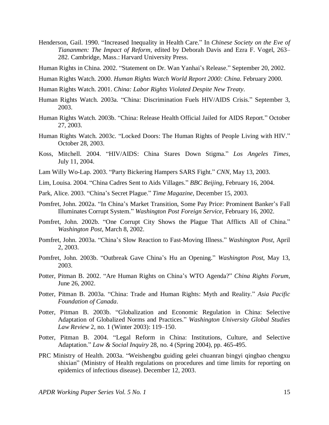Henderson, Gail. 1990. "Increased Inequality in Health Care." In *Chinese Society on the Eve of Tiananmen: The Impact of Reform*, edited by Deborah Davis and Ezra F. Vogel, 263– 282. Cambridge, Mass.: Harvard University Press.

Human Rights in China. 2002. "Statement on Dr. Wan Yanhai's Release." September 20, 2002.

- Human Rights Watch. 2000. *Human Rights Watch World Report 2000: China*. February 2000.
- Human Rights Watch. 2001. *China: Labor Rights Violated Despite New Treaty*.
- Human Rights Watch. 2003a. "China: Discrimination Fuels HIV/AIDS Crisis." September 3, 2003.
- Human Rights Watch. 2003b. "China: Release Health Official Jailed for AIDS Report." October 27, 2003.
- Human Rights Watch. 2003c. "Locked Doors: The Human Rights of People Living with HIV." October 28, 2003.
- Koss, Mitchell. 2004. "HIV/AIDS: China Stares Down Stigma." *Los Angeles Times*, July 11, 2004.
- Lam Willy Wo-Lap. 2003. "Party Bickering Hampers SARS Fight." *CNN*, May 13, 2003.
- Lim, Louisa. 2004. "China Cadres Sent to Aids Villages." *BBC Beijing*, February 16, 2004.
- Park, Alice. 2003. "China's Secret Plague." *Time Magazine*, December 15, 2003.
- Pomfret, John. 2002a. "In China's Market Transition, Some Pay Price: Prominent Banker's Fall Illuminates Corrupt System." *Washington Post Foreign Service*, February 16, 2002.
- Pomfret, John. 2002b. "One Corrupt City Shows the Plague That Afflicts All of China." *Washington Post*, March 8, 2002.
- Pomfret, John. 2003a. "China's Slow Reaction to Fast-Moving Illness." *Washington Post*, April 2, 2003.
- Pomfret, John. 2003b. "Outbreak Gave China's Hu an Opening." *Washington Post*, May 13, 2003.
- Potter, Pitman B. 2002. "Are Human Rights on China's WTO Agenda?" *China Rights Forum*, June 26, 2002.
- Potter, Pitman B. 2003a. "China: Trade and Human Rights: Myth and Reality." *Asia Pacific Foundation of Canada*.
- Potter, Pitman B. 2003b. "Globalization and Economic Regulation in China: Selective Adaptation of Globalized Norms and Practices." *Washington University Global Studies Law Review* 2, no. 1 (Winter 2003): 119–150.
- Potter, Pitman B. 2004. "Legal Reform in China: Institutions, Culture, and Selective Adaptation." *Law & Social Inquiry* 28, no. 4 (Spring 2004), pp. 465-495.
- PRC Ministry of Health. 2003a. "Weishengbu guiding gelei chuanran bingyi qingbao chengxu shixian" (Ministry of Health regulations on procedures and time limits for reporting on epidemics of infectious disease). December 12, 2003.